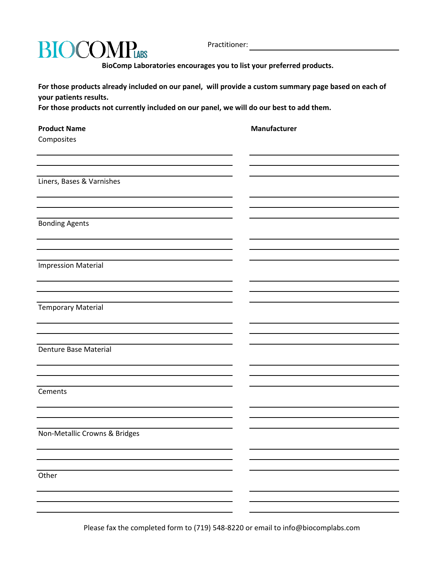

Practitioner:

 **BioComp Laboratories encourages you to list your preferred products.** 

**For those products already included on our panel, will provide a custom summary page based on each of your patients results.**

**For those products not currently included on our panel, we will do our best to add them.**

|  | <b>Product Name</b> |  |
|--|---------------------|--|
|  |                     |  |

**Composites** 

**Manufacturer** 

Liners, Bases & Varnishes

Bonding Agents

Impression Material

Temporary Material

Denture Base Material

Cements

Non-Metallic Crowns & Bridges

**Other** 

Please fax the completed form to (719) 548-8220 or email to info@biocomplabs.com